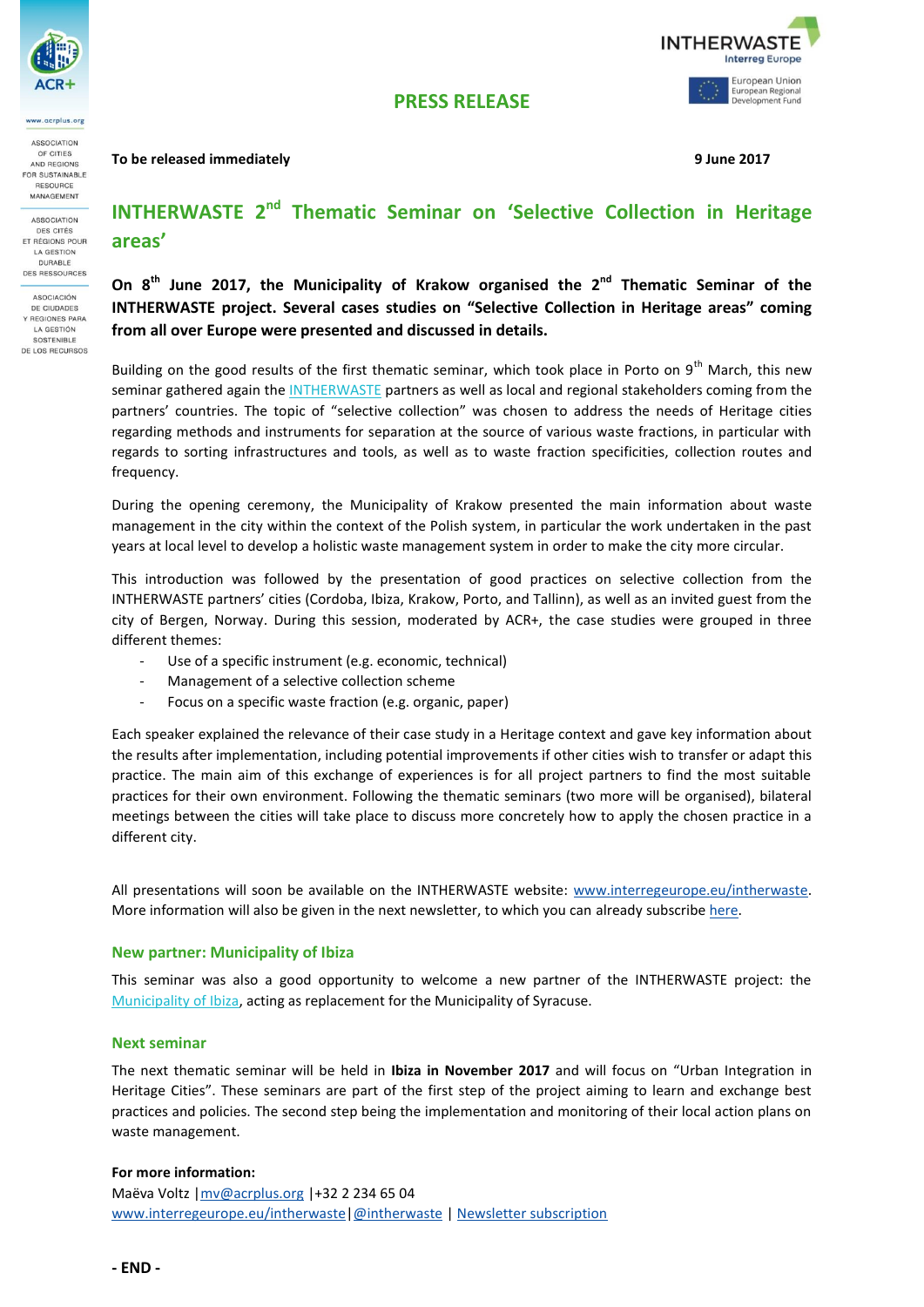

acrolus.org ASSOCIATION

OF CITIES AND REGIONS OR SUSTAINABLE RESOURCE MANAGEMENT

**ASSOCIATION** DES CITÉS ET RÉGIONS POUR LA GESTION DURABLE DES RESSOURCES

ASOCIACIÓN DE CIUDADES **Y REGIONES PARA** LA GESTIÓN SOSTENIBLE DE LOS RECURSOS

### **To be released immediately 9 June 2017**



# **INTHERWASTE 2<sup>nd</sup> Thematic Seminar on 'Selective Collection in Heritage areas'**

**PRESS RELEASE**

On 8<sup>th</sup> June 2017, the Municipality of Krakow organised the 2<sup>nd</sup> Thematic Seminar of the **INTHERWASTE project. Several cases studies on "Selective Collection in Heritage areas" coming from all over Europe were presented and discussed in details.**

Building on the good results of the first thematic seminar, which took place in Porto on 9<sup>th</sup> March, this new seminar gathered again the **INTHERWASTE** partners as well as local and regional stakeholders coming from the partners' countries. The topic of "selective collection" was chosen to address the needs of Heritage cities regarding methods and instruments for separation at the source of various waste fractions, in particular with regards to sorting infrastructures and tools, as well as to waste fraction specificities, collection routes and frequency.

During the opening ceremony, the Municipality of Krakow presented the main information about waste management in the city within the context of the Polish system, in particular the work undertaken in the past years at local level to develop a holistic waste management system in order to make the city more circular.

This introduction was followed by the presentation of good practices on selective collection from the INTHERWASTE partners' cities (Cordoba, Ibiza, Krakow, Porto, and Tallinn), as well as an invited guest from the city of Bergen, Norway. During this session, moderated by ACR+, the case studies were grouped in three different themes:

- Use of a specific instrument (e.g. economic, technical)
- Management of a selective collection scheme
- Focus on a specific waste fraction (e.g. organic, paper)

Each speaker explained the relevance of their case study in a Heritage context and gave key information about the results after implementation, including potential improvements if other cities wish to transfer or adapt this practice. The main aim of this exchange of experiences is for all project partners to find the most suitable practices for their own environment. Following the thematic seminars (two more will be organised), bilateral meetings between the cities will take place to discuss more concretely how to apply the chosen practice in a different city.

All presentations will soon be available on the INTHERWASTE website: [www.interregeurope.eu/intherwaste.](http://www.interregeurope.eu/intherwaste) More information will also be given in the next newsletter, to which you can already subscribe [here.](https://docs.google.com/forms/d/e/1FAIpQLSeJQIl7Dkqocno5B52oSdxB4eatyuONQrFprWnkyAkC0_bwcg/viewform)

## **New partner: Municipality of Ibiza**

This seminar was also a good opportunity to welcome a new partner of the INTHERWASTE project: the [Municipality of Ibiza,](http://www.eivissa.es/portal/index.php/ca/) acting as replacement for the Municipality of Syracuse.

## **Next seminar**

The next thematic seminar will be held in **Ibiza in November 2017** and will focus on "Urban Integration in Heritage Cities". These seminars are part of the first step of the project aiming to learn and exchange best practices and policies. The second step being the implementation and monitoring of their local action plans on waste management.

## **For more information:**

Maëva Voltz [|mv@acrplus.org](mailto:mv@acrplus.org) |+32 2 234 65 04 [www.interregeurope.eu/intherwaste](http://www.interregeurope.eu/intherwaste) | @intherwaste [| Newsletter subscription](https://docs.google.com/forms/d/e/1FAIpQLSeJQIl7Dkqocno5B52oSdxB4eatyuONQrFprWnkyAkC0_bwcg/viewform)